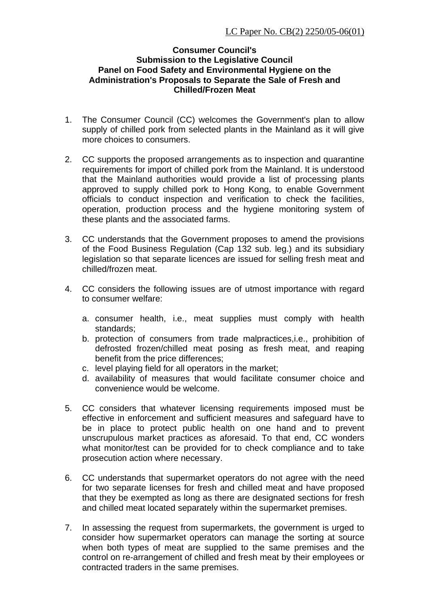## **Consumer Council's Submission to the Legislative Council Panel on Food Safety and Environmental Hygiene on the Administration's Proposals to Separate the Sale of Fresh and Chilled/Frozen Meat**

- 1. The Consumer Council (CC) welcomes the Government's plan to allow supply of chilled pork from selected plants in the Mainland as it will give more choices to consumers.
- 2. CC supports the proposed arrangements as to inspection and quarantine requirements for import of chilled pork from the Mainland. It is understood that the Mainland authorities would provide a list of processing plants approved to supply chilled pork to Hong Kong, to enable Government officials to conduct inspection and verification to check the facilities, operation, production process and the hygiene monitoring system of these plants and the associated farms.
- 3. CC understands that the Government proposes to amend the provisions of the Food Business Regulation (Cap 132 sub. leg.) and its subsidiary legislation so that separate licences are issued for selling fresh meat and chilled/frozen meat.
- 4. CC considers the following issues are of utmost importance with regard to consumer welfare:
	- a. consumer health, i.e., meat supplies must comply with health standards;
	- b. protection of consumers from trade malpractices,i.e., prohibition of defrosted frozen/chilled meat posing as fresh meat, and reaping benefit from the price differences;
	- c. level playing field for all operators in the market;
	- d. availability of measures that would facilitate consumer choice and convenience would be welcome.
- 5. CC considers that whatever licensing requirements imposed must be effective in enforcement and sufficient measures and safeguard have to be in place to protect public health on one hand and to prevent unscrupulous market practices as aforesaid. To that end, CC wonders what monitor/test can be provided for to check compliance and to take prosecution action where necessary.
- 6. CC understands that supermarket operators do not agree with the need for two separate licenses for fresh and chilled meat and have proposed that they be exempted as long as there are designated sections for fresh and chilled meat located separately within the supermarket premises.
- 7. In assessing the request from supermarkets, the government is urged to consider how supermarket operators can manage the sorting at source when both types of meat are supplied to the same premises and the control on re-arrangement of chilled and fresh meat by their employees or contracted traders in the same premises.